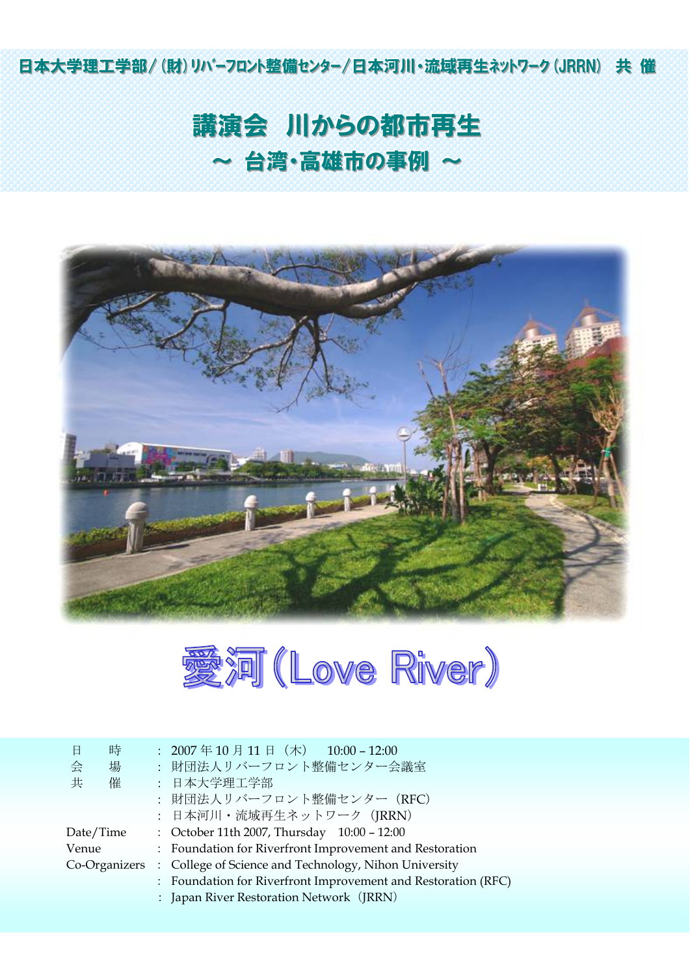日本大学理工学部/(財)リハ'-フロント整備センター/日本河川・流域再生ネットワーク(JRRN) 共催

# 講演会 川からの都市再生 ~ 台湾・高雄市の事例 ~





| 時<br>日        | : $2007 \ncong 10 \ncong 11 \ncong (\npreceq) 10:00 - 12:00$  |
|---------------|---------------------------------------------------------------|
| 슺<br>場        | : 財団法人リバーフロント整備センター会議室                                        |
| 共<br>催        | : 日本大学理工学部                                                    |
|               | : 財団法人リバーフロント整備センター (RFC)                                     |
|               | : 日本河川·流域再生ネットワーク (JRRN)                                      |
| Date/Time     | : October 11th 2007, Thursday 10:00 - 12:00                   |
| Venue         | : Foundation for Riverfront Improvement and Restoration       |
| Co-Organizers | : College of Science and Technology, Nihon University         |
|               | : Foundation for Riverfront Improvement and Restoration (RFC) |
|               | : Japan River Restoration Network (JRRN)                      |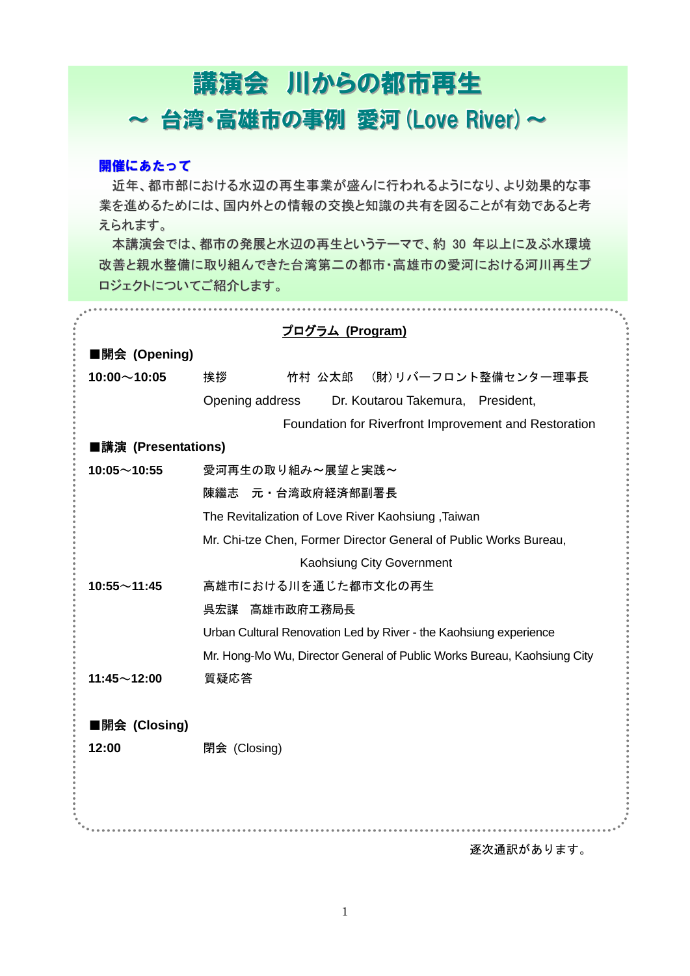## 講演会 川からの都市再生 ~ 台湾·高雄市の事例 愛河 (Love River) ~

#### 開催にあたって

近年、都市部における水辺の再生事業が盛んに行われるようになり、より効果的な事 業を進めるためには、国内外との情報の交換と知識の共有を図ることが有効であると考 えられます。

本講演会では、都市の発展と水辺の再生というテーマで、約 30 年以上に及ぶ水環境 改善と親水整備に取り組んできた台湾第二の都市・高雄市の愛河における河川再生プ ロジェクトについてご紹介します。

|                     | <u>プログラム (Program)</u>                                                  |
|---------------------|-------------------------------------------------------------------------|
| ■開会 (Opening)       |                                                                         |
| $10:00 \sim 10:05$  | (財)リバーフロント整備センター理事長<br>挨拶<br>竹村 公太郎                                     |
|                     | Opening address<br>Dr. Koutarou Takemura, President,                    |
|                     | Foundation for Riverfront Improvement and Restoration                   |
| ■講演 (Presentations) |                                                                         |
| $10:05 \sim 10:55$  | 愛河再生の取り組み~展望と実践~                                                        |
|                     | 陳繼志 元·台湾政府経済部副署長                                                        |
|                     | The Revitalization of Love River Kaohsiung, Taiwan                      |
|                     | Mr. Chi-tze Chen, Former Director General of Public Works Bureau,       |
|                     | Kaohsiung City Government                                               |
| $10:55 \sim 11:45$  | 高雄市における川を通じた都市文化の再生                                                     |
|                     | 呉宏謀 高雄市政府工務局長                                                           |
|                     | Urban Cultural Renovation Led by River - the Kaohsiung experience       |
|                     | Mr. Hong-Mo Wu, Director General of Public Works Bureau, Kaohsiung City |
| $11:45 \sim 12:00$  | 質疑応答                                                                    |
|                     |                                                                         |
| ■開会 (Closing)       |                                                                         |
| 12:00               | 閉会 (Closing)                                                            |
|                     |                                                                         |
|                     |                                                                         |
|                     |                                                                         |
|                     | 逐次通訳があります。                                                              |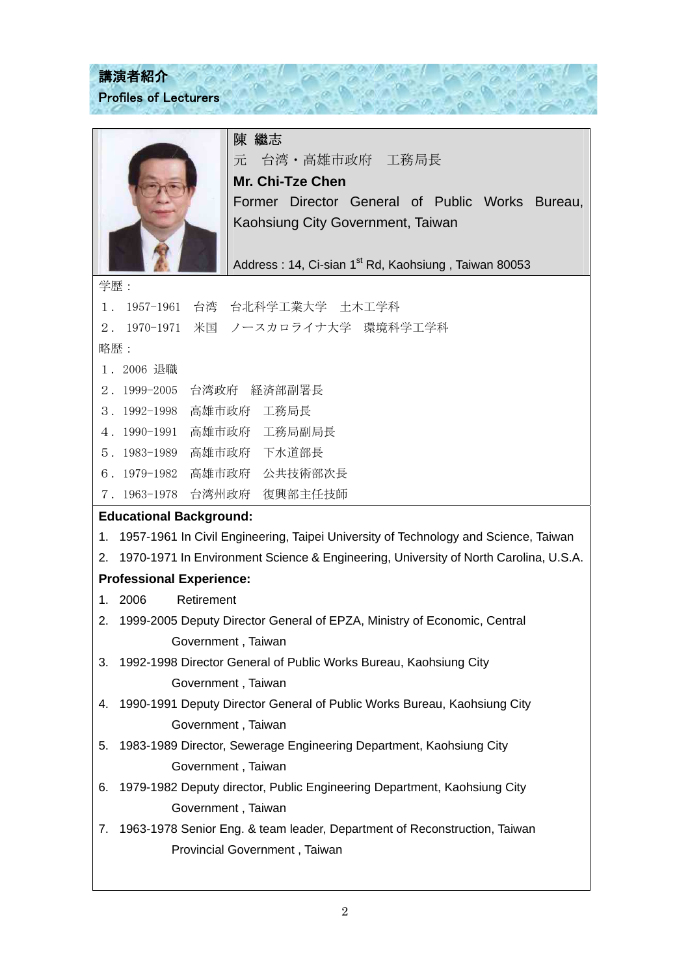### 講演者紹介 Profiles of Lecturers

陳 繼志

元 台湾・高雄市政府 工務局長

 $-\frac{1}{100}$ 

**Mr. Chi-Tze Chen** 

Former Director General of Public Works Bureau, Kaohsiung City Government, Taiwan

Address : 14, Ci-sian 1<sup>st</sup> Rd, Kaohsiung, Taiwan 80053

学歴:

| 台湾 台北科学工業大学 土木工学科<br>1957-1961<br>1.                                                       |
|--------------------------------------------------------------------------------------------|
| 米国 ノースカロライナ大学 環境科学工学科<br>1970-1971<br>$2$ .                                                |
| 略歴:                                                                                        |
| 1. 2006 退職                                                                                 |
| 2. 1999-2005<br>台湾政府 経済部副署長                                                                |
| 高雄市政府 工務局長<br>$3.1992 - 1998$                                                              |
| 高雄市政府 工務局副局長<br>4. 1990-1991                                                               |
| 高雄市政府 下水道部長<br>$5.1983-1989$                                                               |
| 高雄市政府 公共技術部次長<br>$6.1979-1982$                                                             |
| 7. 1963-1978 台湾州政府 復興部主任技師                                                                 |
| <b>Educational Background:</b>                                                             |
| 1957-1961 In Civil Engineering, Taipei University of Technology and Science, Taiwan<br>1.  |
| 1970-1971 In Environment Science & Engineering, University of North Carolina, U.S.A.<br>2. |
| <b>Professional Experience:</b>                                                            |
| 1 <sub>1</sub><br>2006<br>Retirement                                                       |
| 2.<br>1999-2005 Deputy Director General of EPZA, Ministry of Economic, Central             |
| Government, Taiwan                                                                         |
| 3.<br>1992-1998 Director General of Public Works Bureau, Kaohsiung City                    |
| Government, Taiwan                                                                         |
| 1990-1991 Deputy Director General of Public Works Bureau, Kaohsiung City<br>4.             |
| Government, Taiwan                                                                         |
| 1983-1989 Director, Sewerage Engineering Department, Kaohsiung City<br>5.                  |
| Government, Taiwan                                                                         |
| 1979-1982 Deputy director, Public Engineering Department, Kaohsiung City<br>6.             |
| Government, Taiwan                                                                         |
| 1963-1978 Senior Eng. & team leader, Department of Reconstruction, Taiwan<br>7.            |
| Provincial Government, Taiwan                                                              |
|                                                                                            |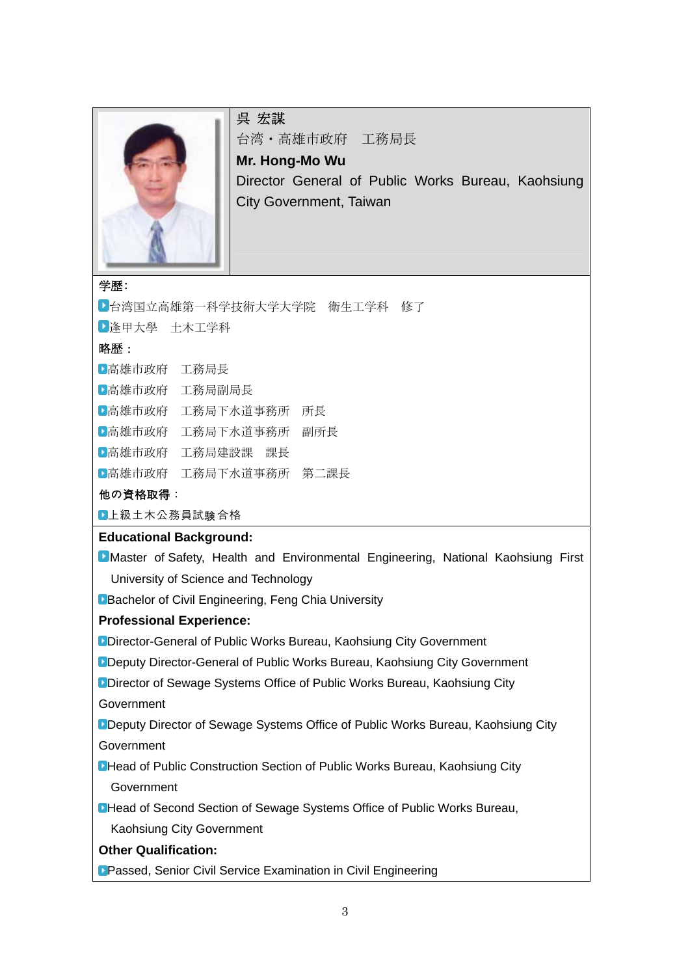

### 呉 宏謀

台湾・高雄市政府 工務局長

**Mr. Hong-Mo Wu**  Director General of Public Works Bureau, Kaohsiung City Government, Taiwan

#### 学歴:

■ 台湾国立高雄第一科学技術大学大学院 衛生工学科 修了 逢甲大學 土木工学科 略歴: 高雄市政府 工務局長 高雄市政府 工務局副局長 高雄市政府 工務局下水道事務所 所長 高雄市政府 工務局下水道事務所 副所長 高雄市政府 工務局建設課 課長 高雄市政府 工務局下水道事務所 第二課長

#### 他の資格取得:

■上級土木公務員試験合格

#### **Educational Background:**

**Master of Safety, Health and Environmental Engineering, National Kaohsiung First** University of Science and Technology

**Bachelor of Civil Engineering, Feng Chia University** 

#### **Professional Experience:**

**Director-General of Public Works Bureau, Kaohsiung City Government** 

**Deputy Director-General of Public Works Bureau, Kaohsiung City Government** 

**Director of Sewage Systems Office of Public Works Bureau, Kaohsiung City** 

Government

Deputy Director of Sewage Systems Office of Public Works Bureau, Kaohsiung City Government

**DHead of Public Construction Section of Public Works Bureau, Kaohsiung City Government** 

**DHead of Second Section of Sewage Systems Office of Public Works Bureau,** Kaohsiung City Government

#### **Other Qualification:**

**Passed, Senior Civil Service Examination in Civil Engineering**